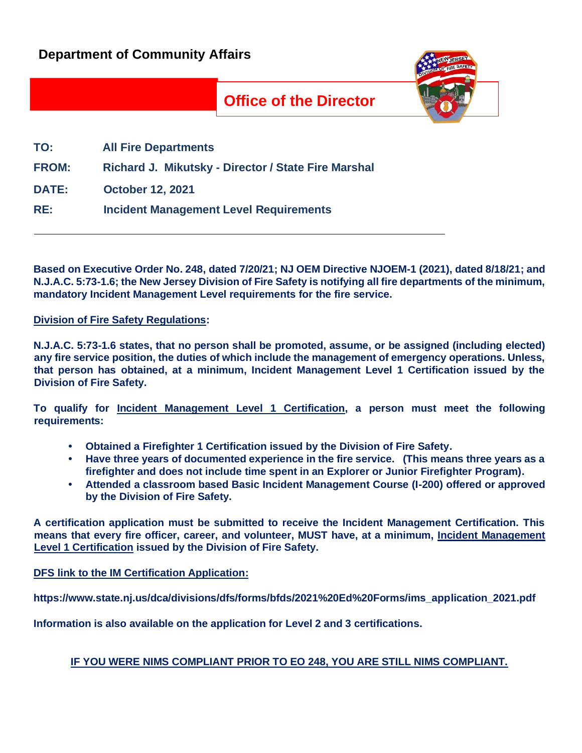

## **Office of the Director**

| TO:          | <b>All Fire Departments</b>                         |
|--------------|-----------------------------------------------------|
| <b>FROM:</b> | Richard J. Mikutsky - Director / State Fire Marshal |
| <b>DATE:</b> | <b>October 12, 2021</b>                             |
| RE:          | <b>Incident Management Level Requirements</b>       |

**Based on Executive Order No. 248, dated 7/20/21; NJ OEM Directive NJOEM-1 (2021), dated 8/18/21; and N.J.A.C. 5:73-1.6; the New Jersey Division of Fire Safety is notifying all fire departments of the minimum, mandatory Incident Management Level requirements for the fire service.** 

**Division of Fire Safety Regulations:**

**N.J.A.C. 5:73-1.6 states, that no person shall be promoted, assume, or be assigned (including elected) any fire service position, the duties of which include the management of emergency operations. Unless, that person has obtained, at a minimum, Incident Management Level 1 Certification issued by the Division of Fire Safety.** 

**To qualify for Incident Management Level 1 Certification, a person must meet the following requirements:**

- **• Obtained a Firefighter 1 Certification issued by the Division of Fire Safety.**
- **• Have three years of documented experience in the fire service. (This means three years as a firefighter and does not include time spent in an Explorer or Junior Firefighter Program).**
- **• Attended a classroom based Basic Incident Management Course (I-200) offered or approved by the Division of Fire Safety.**

**A certification application must be submitted to receive the Incident Management Certification. This means that every fire officer, career, and volunteer, MUST have, at a minimum, Incident Management Level 1 Certification issued by the Division of Fire Safety.** 

**DFS link to the IM Certification Application:**

**https://www.state.nj.us/dca/divisions/dfs/forms/bfds/2021%20Ed%20Forms/ims\_application\_2021.pdf**

**Information is also available on the application for Level 2 and 3 certifications.**

## **IF YOU WERE NIMS COMPLIANT PRIOR TO EO 248, YOU ARE STILL NIMS COMPLIANT.**